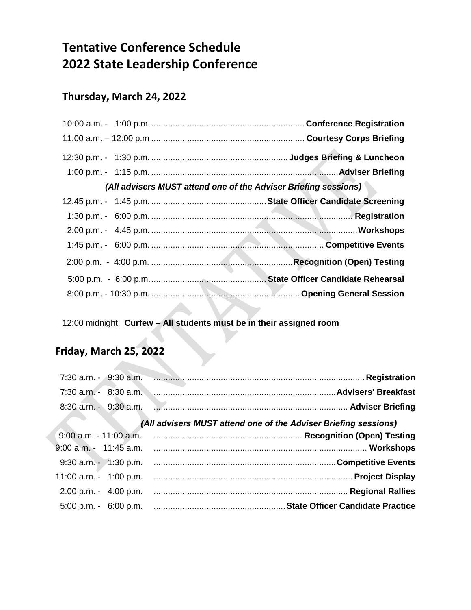# **Tentative Conference Schedule 2022 State Leadership Conference**

### **Thursday, March 24, 2022**

| (All advisers MUST attend one of the Adviser Briefing sessions) |  |
|-----------------------------------------------------------------|--|
|                                                                 |  |
|                                                                 |  |
|                                                                 |  |
|                                                                 |  |
|                                                                 |  |
|                                                                 |  |
|                                                                 |  |
|                                                                 |  |

12:00 midnight **Curfew – All students must be in their assigned room**

## **Friday, March 25, 2022**

| (All advisers MUST attend one of the Adviser Briefing sessions) |  |  |
|-----------------------------------------------------------------|--|--|
|                                                                 |  |  |
|                                                                 |  |  |
|                                                                 |  |  |
|                                                                 |  |  |
|                                                                 |  |  |
|                                                                 |  |  |